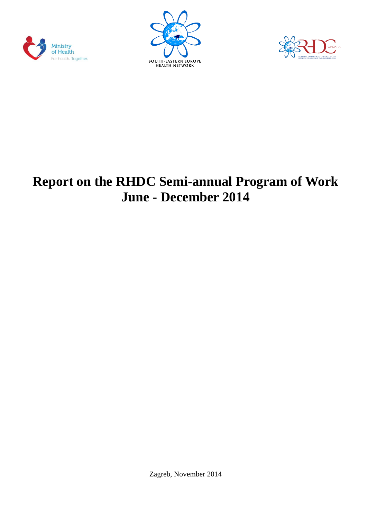





# **Report on the RHDC Semi-annual Program of Work June - December 2014**

Zagreb, November 2014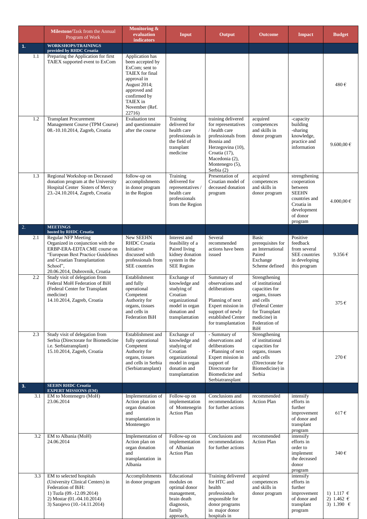|     | Milestone/Task from the Annual<br>Program of Work                                                                                                                                                                  | Monitoring &<br>evaluation<br><b>indicators</b>                                                                                                                                        | Input                                                                                                                          | Output                                                                                                                                                                                  | <b>Outcome</b>                                                                                                                                                    | <b>Impact</b>                                                                                                                | <b>Budget</b>                              |
|-----|--------------------------------------------------------------------------------------------------------------------------------------------------------------------------------------------------------------------|----------------------------------------------------------------------------------------------------------------------------------------------------------------------------------------|--------------------------------------------------------------------------------------------------------------------------------|-----------------------------------------------------------------------------------------------------------------------------------------------------------------------------------------|-------------------------------------------------------------------------------------------------------------------------------------------------------------------|------------------------------------------------------------------------------------------------------------------------------|--------------------------------------------|
| 1.  | <b>WORKSHOPS/TRAININGS</b><br>provided by RHDC Croatia                                                                                                                                                             |                                                                                                                                                                                        |                                                                                                                                |                                                                                                                                                                                         |                                                                                                                                                                   |                                                                                                                              |                                            |
| 1.1 | Preparing the Application for first<br>TAIEX supported event to ExCom                                                                                                                                              | Application has<br>been accepted by<br>ExCom; sent to<br>TAIEX for final<br>approval in<br><b>August 2014;</b><br>approved and<br>confirmed by<br>TAIEX in<br>November (Ref.<br>22716) |                                                                                                                                |                                                                                                                                                                                         |                                                                                                                                                                   |                                                                                                                              | 480€                                       |
| 1.2 | <b>Transplant Procurement</b><br>Management Course (TPM Course)<br>08.-10.10.2014, Zagreb, Croatia                                                                                                                 | <b>Evaluation test</b><br>and questionnaire<br>after the course                                                                                                                        | Training<br>delivered for<br>health care<br>professionals in<br>the field of<br>transplant<br>medicine                         | training delivered<br>for representatives<br>/ health care<br>professionals from<br>Bosnia and<br>Herzegovina (10),<br>Croatia (17),<br>Macedonia (2),<br>Montenegro (5),<br>Serbia (2) | acquired<br>competences<br>and skills in<br>donor program                                                                                                         | -capacity<br>building<br>-sharing<br>knowledge,<br>practice and<br>information                                               | 9.600,00 $\in$                             |
| 1.3 | Regional Workshop on Deceased<br>donation program at the University<br>Hospital Center Sisters of Mercy<br>23.-24.10.2014, Zagreb, Croatia                                                                         | follow-up on<br>accomplishments<br>in donor program<br>in the Region                                                                                                                   | Training<br>delivered for<br>representatives /<br>health care<br>professionals<br>from the Region                              | Presentation of<br>Croatian model of<br>deceased donation<br>program                                                                                                                    | acquired<br>competences<br>and skills in<br>donor program                                                                                                         | strengthening<br>cooperation<br>between<br><b>SEEHN</b><br>countries and<br>Croatia in<br>development<br>of donor<br>program | 4.000,00 €                                 |
| 2.  | <b>MEETINGS</b><br>hosted by RHDC Croatia                                                                                                                                                                          |                                                                                                                                                                                        |                                                                                                                                |                                                                                                                                                                                         |                                                                                                                                                                   |                                                                                                                              |                                            |
| 2.1 | <b>Regular NFP Meeting</b><br>Organized in conjunction with the<br>ERBP-ERA-EDTA CME course on<br>"European Best Practice Guidelines<br>and Croatian Transplantation<br>School",<br>20.06.2014, Dubrovnik, Croatia | New SEEHN<br><b>RHDC</b> Croatia<br>Initiative<br>discussed with<br>professionals from<br>SEE countries                                                                                | Interest and<br>feasibility of a<br>Paired living<br>kidney donation<br>system in the<br><b>SEE Region</b>                     | Several<br>recommended<br>actions have been<br>issued                                                                                                                                   | Basic<br>prerequisites for<br>an International<br>Paired<br>Exchange<br>Scheme defined                                                                            | Positive<br>feedback<br>from several<br>SEE countries<br>in developing<br>this program                                       | 9.356€                                     |
| 2.2 | Study visit of delegation from<br>Federal MoH Federation of BiH<br>(Federal Center for Transplant<br>medicine)<br>14.10.2014, Zagreb, Croatia                                                                      | Establishment<br>and fully<br>operational<br>Competent<br>Authority for<br>organs, tissues<br>and cells in<br>Federation BiH                                                           | Exchange of<br>knowledge and<br>studying of<br>Croatian<br>organizational<br>model in organ<br>donation and<br>transplantation | Summary of<br>observations and<br>deliberations<br>Planning of next<br>Expert mission in<br>support of newly<br>established Center<br>for transplantation                               | Strengthening<br>of institutional<br>capacities for<br>organs, tissues<br>and cells<br>(Federal Center)<br>for Transplant<br>medicine) in<br>Federation of<br>BiH |                                                                                                                              | 375€                                       |
| 2.3 | Study visit of delegation from<br>Serbia (Directorate for Biomedicine<br>i.e. Serbiatransplant)<br>15.10.2014, Zagreb, Croatia                                                                                     | Establishment and<br>fully operational<br>Competent<br>Authority for<br>organs, tissues<br>and cells in Serbia<br>(Serbiatransplant)                                                   | Exchange of<br>knowledge and<br>studying of<br>Croatian<br>organizational<br>model in organ<br>donation and<br>transplantation | - Summary of<br>observations and<br>deliberations<br>- Planning of next<br>Expert mission in<br>support of<br>Directorate for<br>Biomedicine and<br>Serbiatransplant                    | Strengthening<br>of institutional<br>capacities for<br>organs, tissues<br>and cells<br>(Directorate for<br>Biomedicine) in<br>Serbia                              |                                                                                                                              | 270€                                       |
| 3.  | <b>SEEHN RHDC Croatia</b><br><b>EXPERT MISSIONS (EM)</b>                                                                                                                                                           |                                                                                                                                                                                        |                                                                                                                                |                                                                                                                                                                                         |                                                                                                                                                                   |                                                                                                                              |                                            |
| 3.1 | EM to Montenegro (MoH)<br>23.06.2014                                                                                                                                                                               | Implementation of<br>Action plan on<br>organ donation<br>and<br>transplantation in<br>Montenegro                                                                                       | Follow-up on<br>implementation<br>of Montenegrin<br><b>Action Plan</b>                                                         | Conclusions and<br>recommendations<br>for further actions                                                                                                                               | recommended<br><b>Action Plan</b>                                                                                                                                 | intensify<br>efforts in<br>further<br>improvement<br>of donor and<br>transplant<br>program                                   | $617 \in$                                  |
| 3.2 | EM to Albania (MoH)<br>24.06.2014                                                                                                                                                                                  | Implementation of<br>Action plan on<br>organ donation<br>and<br>transplantation in<br>Albania                                                                                          | Follow-up on<br>implementation<br>of Albanian<br><b>Action Plan</b>                                                            | Conclusions and<br>recommendations<br>for further actions                                                                                                                               | recommended<br><b>Action Plan</b>                                                                                                                                 | intensify<br>efforts in<br>order to<br>implement<br>the deceased<br>donor<br>program                                         | 340€                                       |
| 3.3 | EM to selected hospitals<br>(University Clinical Centers) in<br>Federation of BiH:<br>1) Tuzla (09.-12.09.2014)<br>2) Mostar (01.-04.10.2014)<br>3) Sarajevo (10.-14.11.2014)                                      | Accomplishments<br>in donor program                                                                                                                                                    | Educational<br>modules on<br>optimal donor<br>management,<br>brain death<br>diagnosis,<br>family<br>approach,                  | Training delivered<br>for HTC and<br>health<br>professionals<br>responsible for<br>donor programs<br>in major donor<br>hospitals in                                                     | acquired<br>competences<br>and skills in<br>donor program                                                                                                         | intensify<br>efforts in<br>further<br>improvement<br>of donor and<br>transplant<br>program                                   | 1) 1.117 €<br>2) 1.462 €<br>3) 1.390 $\in$ |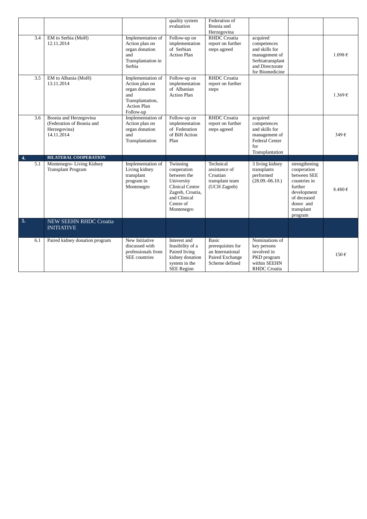|     |                                       |                                  | quality system                      | Federation of                     |                               |                        |             |
|-----|---------------------------------------|----------------------------------|-------------------------------------|-----------------------------------|-------------------------------|------------------------|-------------|
|     |                                       |                                  | evaluation                          | Bosnia and                        |                               |                        |             |
|     |                                       |                                  |                                     | Herzegovina                       |                               |                        |             |
|     | 3.4<br>EM to Serbia (MoH)             | Implementation of                | Follow-up on                        | <b>RHDC</b> Croatia               | acquired                      |                        |             |
|     | 12.11.2014                            | Action plan on<br>organ donation | implementation<br>of Serbian        | report on further<br>steps agreed | competences<br>and skills for |                        |             |
|     |                                       | and                              | <b>Action Plan</b>                  |                                   | management of                 |                        | $1.098 \in$ |
|     |                                       |                                  |                                     |                                   | Serbiatransplant              |                        |             |
|     |                                       | Transplantation in<br>Serbia     |                                     |                                   | and Directorate               |                        |             |
|     |                                       |                                  |                                     |                                   | for Biomedicine               |                        |             |
|     | EM to Albania (MoH)<br>3.5            | Implementation of                | Follow-up on                        | <b>RHDC</b> Croatia               |                               |                        |             |
|     | 13.11.2014                            | Action plan on                   | implementation                      | report on further                 |                               |                        |             |
|     |                                       | organ donation                   | of Albanian                         | steps                             |                               |                        |             |
|     |                                       | and                              | <b>Action Plan</b>                  |                                   |                               |                        | 1.369€      |
|     |                                       | Transplantation,                 |                                     |                                   |                               |                        |             |
|     |                                       | <b>Action Plan</b>               |                                     |                                   |                               |                        |             |
|     |                                       | Follow-up                        |                                     |                                   |                               |                        |             |
|     | 3.6<br>Bosnia and Herzegovina         | Implementation of                | Follow-up on                        | <b>RHDC</b> Croatia               | acquired                      |                        |             |
|     | (Federation of Bosnia and             | Action plan on                   | implementation                      | report on further                 | competences                   |                        |             |
|     | Herzegovina)                          | organ donation                   | of Federation                       | steps agreed                      | and skills for                |                        |             |
|     | 14.11.2014                            | and                              | of BiH Action                       |                                   | management of                 |                        | 349€        |
|     |                                       | Transplantation                  | Plan                                |                                   | <b>Federal Center</b>         |                        |             |
|     |                                       |                                  |                                     |                                   | for                           |                        |             |
|     |                                       |                                  |                                     |                                   | Transplantation               |                        |             |
| 4.  | <b>BILATERAL COOPERATION</b>          |                                  |                                     |                                   |                               |                        |             |
| 5.1 | Montenegro-Living Kidney              | Implementation of                | Twinning                            | Technical                         | 3 living kidney               | strengthening          |             |
|     | <b>Transplant Program</b>             | Living kidney                    | cooperation                         | assistance of                     | transplants                   | cooperation            |             |
|     |                                       | transplant                       | between the                         | Croatian                          | performed                     | between SEE            |             |
|     |                                       | program in                       | University                          | transplant team                   | $(28.09.-06.10.)$             | countries in           |             |
|     |                                       | Montenegro                       | Clinical Centre<br>Zagreb, Croatia, | (UCH Zagreb)                      |                               | further<br>development | 8.480€      |
|     |                                       |                                  | and Clinical                        |                                   |                               | of deceased            |             |
|     |                                       |                                  | Centre of                           |                                   |                               | donor and              |             |
|     |                                       |                                  | Montenegro                          |                                   |                               | transplant             |             |
|     |                                       |                                  |                                     |                                   |                               | program                |             |
| 5.  | NEW SEEHN RHDC Croatia                |                                  |                                     |                                   |                               |                        |             |
|     | <b>INITIATIVE</b>                     |                                  |                                     |                                   |                               |                        |             |
|     |                                       |                                  |                                     |                                   |                               |                        |             |
|     | 6.1<br>Paired kidney donation program | New Initiative                   | Interest and                        | <b>Basic</b>                      | Nominations of                |                        |             |
|     |                                       | discussed with                   | feasibility of a                    | prerequisites for                 | key persons                   |                        |             |
|     |                                       | professionals from               | Paired living                       | an International                  | involved in                   |                        |             |
|     |                                       | <b>SEE</b> countries             | kidney donation                     | Paired Exchange                   | PKD program                   |                        | 150€        |
|     |                                       |                                  | system in the                       | Scheme defined                    | within SEEHN                  |                        |             |
|     |                                       |                                  | <b>SEE Region</b>                   |                                   | <b>RHDC</b> Croatia           |                        |             |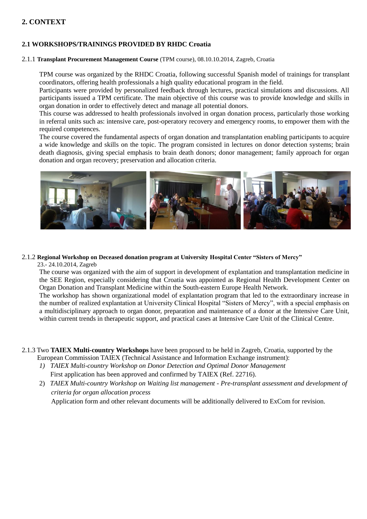# **2. CONTEXT**

# **2.1 WORKSHOPS/TRAININGS PROVIDED BY RHDC Croatia**

#### 2.1.1 **Transplant Procurement Management Course** (TPM course), 08.10.10.2014, Zagreb, Croatia

TPM course was organized by the RHDC Croatia, following successful Spanish model of trainings for transplant coordinators, offering health professionals a high quality educational program in the field.

Participants were provided by personalized feedback through lectures, practical simulations and discussions. All participants issued a TPM certificate. The main objective of this course was to provide knowledge and skills in organ donation in order to effectively detect and manage all potential donors.

This course was addressed to health professionals involved in organ donation process, particularly those working in referral units such as: intensive care, post-operatory recovery and emergency rooms, to empower them with the required competences.

The course covered the fundamental aspects of organ donation and transplantation enabling participants to acquire a wide knowledge and skills on the topic. The program consisted in lectures on donor detection systems; brain death diagnosis, giving special emphasis to brain death donors; donor management; family approach for organ donation and organ recovery; preservation and allocation criteria.



# 2.1.2 **Regional Workshop on Deceased donation program at University Hospital Center "Sisters of Mercy"**

23.- 24.10.2014, Zagreb

The course was organized with the aim of support in development of explantation and transplantation medicine in the SEE Region, especially considering that Croatia was appointed as Regional Health Development Center on Organ Donation and Transplant Medicine within the South-eastern Europe Health Network.

The workshop has shown organizational model of explantation program that led to the extraordinary increase in the number of realized explantation at University Clinical Hospital "Sisters of Mercy", with a special emphasis on a multidisciplinary approach to organ donor, preparation and maintenance of a donor at the Intensive Care Unit, within current trends in therapeutic support, and practical cases at Intensive Care Unit of the Clinical Centre.

- 2.1.3 Two **TAIEX Multi-country Workshops** have been proposed to be held in Zagreb, Croatia, supported by the European Commission TAIEX (Technical Assistance and Information Exchange instrument):
	- *1) TAIEX Multi-country Workshop on Donor Detection and Optimal Donor Management* First application has been approved and confirmed by TAIEX (Ref. 22716).
	- 2) *TAIEX Multi-country Workshop on Waiting list management - Pre-transplant assessment and development of criteria for organ allocation process*

Application form and other relevant documents will be additionally delivered to ExCom for revision.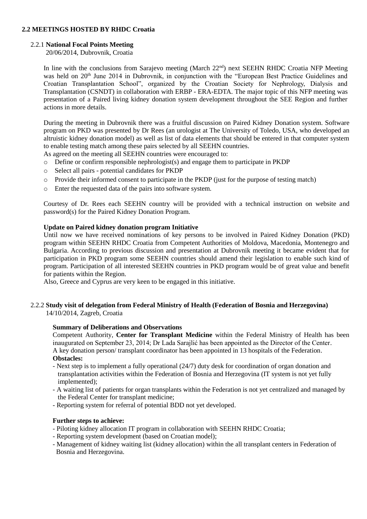# **2.2 MEETINGS HOSTED BY RHDC Croatia**

#### 2.2.1 **National Focal Points Meeting**

20/06/2014, Dubrovnik, Croatia

In line with the conclusions from Sarajevo meeting (March 22<sup>nd</sup>) next SEEHN RHDC Croatia NFP Meeting was held on 20<sup>th</sup> June 2014 in Dubrovnik, in conjunction with the "European Best Practice Guidelines and Croatian Transplantation School", organized by the Croatian Society for Nephrology, Dialysis and Transplantation (CSNDT) in collaboration with ERBP - ERA-EDTA. The major topic of this NFP meeting was presentation of a Paired living kidney donation system development throughout the SEE Region and further actions in more details.

During the meeting in Dubrovnik there was a fruitful discussion on Paired Kidney Donation system. Software program on PKD was presented by Dr Rees (an urologist at The University of Toledo, USA, who developed an altruistic kidney donation model) as well as list of data elements that should be entered in that computer system to enable testing match among these pairs selected by all SEEHN countries.

As agreed on the meeting all SEEHN countries were encouraged to:

- o Define or confirm responsible nephrologist(s) and engage them to participate in PKDP
- o Select all pairs potential candidates for PKDP
- o Provide their informed consent to participate in the PKDP (just for the purpose of testing match)
- o Enter the requested data of the pairs into software system.

Courtesy of Dr. Rees each SEEHN country will be provided with a technical instruction on website and password(s) for the Paired Kidney Donation Program.

#### **Update on Paired kidney donation program Initiative**

Until now we have received nominations of key persons to be involved in Paired Kidney Donation (PKD) program within SEEHN RHDC Croatia from Competent Authorities of Moldova, Macedonia, Montenegro and Bulgaria. According to previous discussion and presentation at Dubrovnik meeting it became evident that for participation in PKD program some SEEHN countries should amend their legislation to enable such kind of program. Participation of all interested SEEHN countries in PKD program would be of great value and benefit for patients within the Region.

Also, Greece and Cyprus are very keen to be engaged in this initiative.

# 2.2.2 **Study visit of delegation from Federal Ministry of Health (Federation of Bosnia and Herzegovina)**

14/10/2014, Zagreb, Croatia

#### **Summary of Deliberations and Observations**

Competent Authority, **Center for Transplant Medicine** within the Federal Ministry of Health has been inaugurated on September 23, 2014; Dr Lada Sarajlić has been appointed as the Director of the Center. A key donation person/ transplant coordinator has been appointed in 13 hospitals of the Federation. **Obstacles:**

- Next step is to implement a fully operational (24/7) duty desk for coordination of organ donation and transplantation activities within the Federation of Bosnia and Herzegovina (IT system is not yet fully implemented):
- A waiting list of patients for organ transplants within the Federation is not yet centralized and managed by the Federal Center for transplant medicine;
- Reporting system for referral of potential BDD not yet developed.

#### **Further steps to achieve:**

- Piloting kidney allocation IT program in collaboration with SEEHN RHDC Croatia;
- Reporting system development (based on Croatian model);
- Management of kidney waiting list (kidney allocation) within the all transplant centers in Federation of Bosnia and Herzegovina.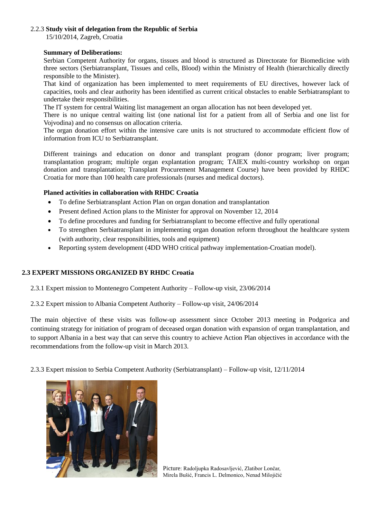#### 2.2.3 **Study visit of delegation from the Republic of Serbia**

15/10/2014, Zagreb, Croatia

#### **Summary of Deliberations:**

Serbian Competent Authority for organs, tissues and blood is structured as Directorate for Biomedicine with three sectors (Serbiatransplant, Tissues and cells, Blood) within the Ministry of Health (hierarchically directly responsible to the Minister).

That kind of organization has been implemented to meet requirements of EU directives, however lack of capacities, tools and clear authority has been identified as current critical obstacles to enable Serbiatransplant to undertake their responsibilities.

The IT system for central Waiting list management an organ allocation has not been developed yet.

There is no unique central waiting list (one national list for a patient from all of Serbia and one list for Vojvodina) and no consensus on allocation criteria.

The organ donation effort within the intensive care units is not structured to accommodate efficient flow of information from ICU to Serbiatransplant.

Different trainings and education on donor and transplant program (donor program; liver program; transplantation program; multiple organ explantation program; TAIEX multi-country workshop on organ donation and transplantation; Transplant Procurement Management Course) have been provided by RHDC Croatia for more than 100 health care professionals (nurses and medical doctors).

# **Planed activities in collaboration with RHDC Croatia**

- To define Serbiatransplant Action Plan on organ donation and transplantation
- Present defined Action plans to the Minister for approval on November 12, 2014
- To define procedures and funding for Serbiatransplant to become effective and fully operational
- To strengthen Serbiatransplant in implementing organ donation reform throughout the healthcare system (with authority, clear responsibilities, tools and equipment)
- Reporting system development (4DD WHO critical pathway implementation-Croatian model).

# **2.3 EXPERT MISSIONS ORGANIZED BY RHDC Croatia**

2.3.1 Expert mission to Montenegro Competent Authority – Follow-up visit, 23/06/2014

2.3.2 Expert mission to Albania Competent Authority – Follow-up visit, 24/06/2014

The main objective of these visits was follow-up assessment since October 2013 meeting in Podgorica and continuing strategy for initiation of program of deceased organ donation with expansion of organ transplantation, and to support Albania in a best way that can serve this country to achieve Action Plan objectives in accordance with the recommendations from the follow-up visit in March 2013.

2.3.3 Expert mission to Serbia Competent Authority (Serbiatransplant) – Follow-up visit, 12/11/2014



Picture: Radoljupka Radosavljević, Zlatibor Lončar, Mirela Bušić, Francis L. Delmonico, Nenad Milojičić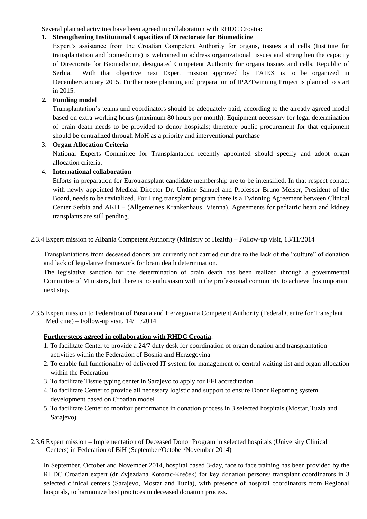Several planned activities have been agreed in collaboration with RHDC Croatia:

# **1. Strengthening Institutional Capacities of Directorate for Biomedicine**

Expert's assistance from the Croatian Competent Authority for organs, tissues and cells (Institute for transplantation and biomedicine) is welcomed to address organizational issues and strengthen the capacity of Directorate for Biomedicine, designated Competent Authority for organs tissues and cells, Republic of Serbia. With that objective next Expert mission approved by TAIEX is to be organized in December/January 2015. Furthermore planning and preparation of IPA/Twinning Project is planned to start in 2015.

# **2. Funding model**

Transplantation's teams and coordinators should be adequately paid, according to the already agreed model based on extra working hours (maximum 80 hours per month). Equipment necessary for legal determination of brain death needs to be provided to donor hospitals; therefore public procurement for that equipment should be centralized through MoH as a priority and interventional purchase

# 3. **Organ Allocation Criteria**

National Experts Committee for Transplantation recently appointed should specify and adopt organ allocation criteria.

# 4. **International collaboration**

Efforts in preparation for Eurotransplant candidate membership are to be intensified. In that respect contact with newly appointed Medical Director Dr. Undine Samuel and Professor Bruno Meiser, President of the Board, needs to be revitalized. For Lung transplant program there is a Twinning Agreement between Clinical Center Serbia and AKH – (Allgemeines Krankenhaus, Vienna). Agreements for pediatric heart and kidney transplants are still pending.

2.3.4 Expert mission to Albania Competent Authority (Ministry of Health) – Follow-up visit, 13/11/2014

Transplantations from deceased donors are currently not carried out due to the lack of the "culture" of donation and lack of legislative framework for brain death determination.

The legislative sanction for the determination of brain death has been realized through a governmental Committee of Ministers, but there is no enthusiasm within the professional community to achieve this important next step.

2.3.5 Expert mission to Federation of Bosnia and Herzegovina Competent Authority (Federal Centre for Transplant Medicine) – Follow-up visit, 14/11/2014

# **Further steps agreed in collaboration with RHDC Croatia**:

- 1. To facilitate Center to provide a 24/7 duty desk for coordination of organ donation and transplantation activities within the Federation of Bosnia and Herzegovina
- 2. To enable full functionality of delivered IT system for management of central waiting list and organ allocation within the Federation
- 3. To facilitate Tissue typing center in Sarajevo to apply for EFI accreditation
- 4. To facilitate Center to provide all necessary logistic and support to ensure Donor Reporting system development based on Croatian model
- 5. To facilitate Center to monitor performance in donation process in 3 selected hospitals (Mostar, Tuzla and Sarajevo)
- 2.3.6 Expert mission Implementation of Deceased Donor Program in selected hospitals (University Clinical Centers) in Federation of BiH (September/October/November 2014)

In September, October and November 2014, hospital based 3-day, face to face training has been provided by the RHDC Croatian expert (dr Zvjezdana Kotorac-Kreček) for key donation persons/ transplant coordinators in 3 selected clinical centers (Sarajevo, Mostar and Tuzla), with presence of hospital coordinators from Regional hospitals, to harmonize best practices in deceased donation process.